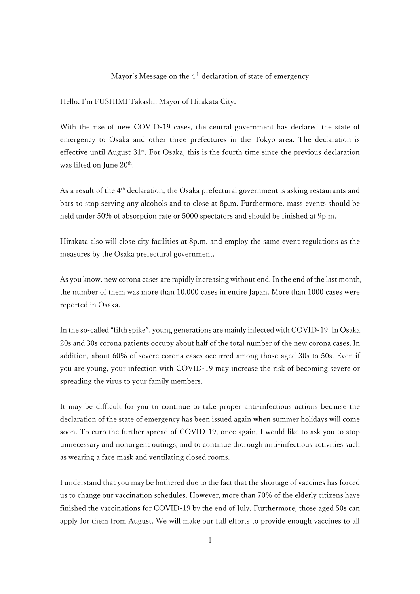## Mayor's Message on the 4<sup>th</sup> declaration of state of emergency

Hello. I'm FUSHIMI Takashi, Mayor of Hirakata City.

With the rise of new COVID-19 cases, the central government has declared the state of emergency to Osaka and other three prefectures in the Tokyo area. The declaration is effective until August  $31<sup>st</sup>$ . For Osaka, this is the fourth time since the previous declaration was lifted on June 20<sup>th</sup>.

As a result of the 4<sup>th</sup> declaration, the Osaka prefectural government is asking restaurants and bars to stop serving any alcohols and to close at 8p.m. Furthermore, mass events should be held under 50% of absorption rate or 5000 spectators and should be finished at 9p.m.

Hirakata also will close city facilities at 8p.m. and employ the same event regulations as the measures by the Osaka prefectural government.

As you know, new corona cases are rapidly increasing without end. In the end of the last month, the number of them was more than 10,000 cases in entire Japan. More than 1000 cases were reported in Osaka.

In the so-called "fifth spike", young generations are mainly infected with COVID-19. In Osaka, 20s and 30s corona patients occupy about half of the total number of the new corona cases. In addition, about 60% of severe corona cases occurred among those aged 30s to 50s. Even if you are young, your infection with COVID-19 may increase the risk of becoming severe or spreading the virus to your family members.

It may be difficult for you to continue to take proper anti-infectious actions because the declaration of the state of emergency has been issued again when summer holidays will come soon. To curb the further spread of COVID-19, once again, I would like to ask you to stop unnecessary and nonurgent outings, and to continue thorough anti-infectious activities such as wearing a face mask and ventilating closed rooms.

I understand that you may be bothered due to the fact that the shortage of vaccines has forced us to change our vaccination schedules. However, more than 70% of the elderly citizens have finished the vaccinations for COVID-19 by the end of July. Furthermore, those aged 50s can apply for them from August. We will make our full efforts to provide enough vaccines to all